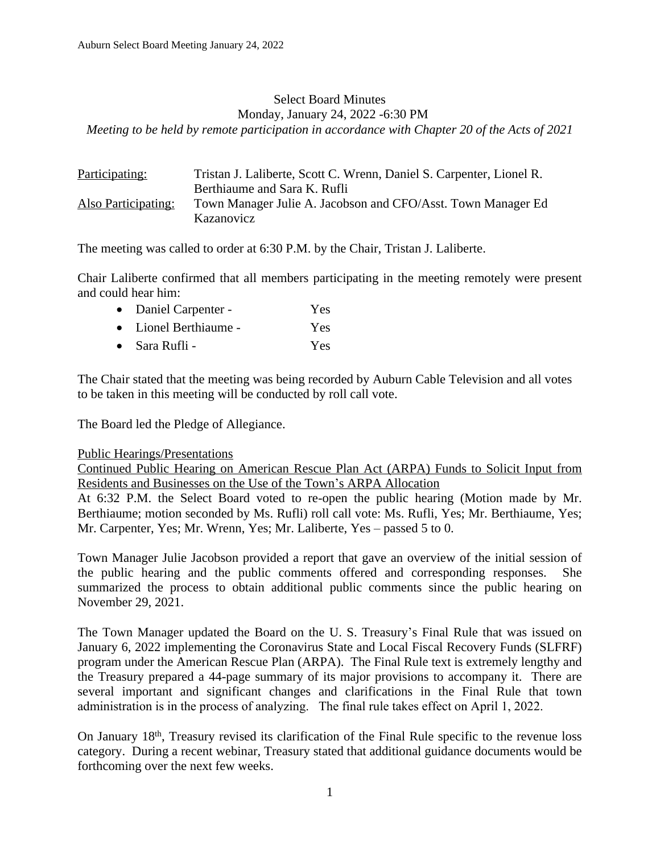#### Select Board Minutes Monday, January 24, 2022 -6:30 PM *Meeting to be held by remote participation in accordance with Chapter 20 of the Acts of 2021*

| <u>Participating:</u> | Tristan J. Laliberte, Scott C. Wrenn, Daniel S. Carpenter, Lionel R. |
|-----------------------|----------------------------------------------------------------------|
|                       | Berthiaume and Sara K. Rufli                                         |
| Also Participating:   | Town Manager Julie A. Jacobson and CFO/Asst. Town Manager Ed         |
|                       | Kazanovicz                                                           |

The meeting was called to order at 6:30 P.M. by the Chair, Tristan J. Laliberte.

Chair Laliberte confirmed that all members participating in the meeting remotely were present and could hear him:

- Daniel Carpenter Yes
- Lionel Berthiaume Yes • Sara Rufli - Yes
- 

The Chair stated that the meeting was being recorded by Auburn Cable Television and all votes to be taken in this meeting will be conducted by roll call vote.

The Board led the Pledge of Allegiance.

### Public Hearings/Presentations

Continued Public Hearing on American Rescue Plan Act (ARPA) Funds to Solicit Input from Residents and Businesses on the Use of the Town's ARPA Allocation

At 6:32 P.M. the Select Board voted to re-open the public hearing (Motion made by Mr. Berthiaume; motion seconded by Ms. Rufli) roll call vote: Ms. Rufli, Yes; Mr. Berthiaume, Yes; Mr. Carpenter, Yes; Mr. Wrenn, Yes; Mr. Laliberte, Yes – passed 5 to 0.

Town Manager Julie Jacobson provided a report that gave an overview of the initial session of the public hearing and the public comments offered and corresponding responses. She summarized the process to obtain additional public comments since the public hearing on November 29, 2021.

The Town Manager updated the Board on the U. S. Treasury's Final Rule that was issued on January 6, 2022 implementing the Coronavirus State and Local Fiscal Recovery Funds (SLFRF) program under the American Rescue Plan (ARPA). The Final Rule text is extremely lengthy and the Treasury prepared a 44-page summary of its major provisions to accompany it. There are several important and significant changes and clarifications in the Final Rule that town administration is in the process of analyzing. The final rule takes effect on April 1, 2022.

On January 18<sup>th</sup>, Treasury revised its clarification of the Final Rule specific to the revenue loss category. During a recent webinar, Treasury stated that additional guidance documents would be forthcoming over the next few weeks.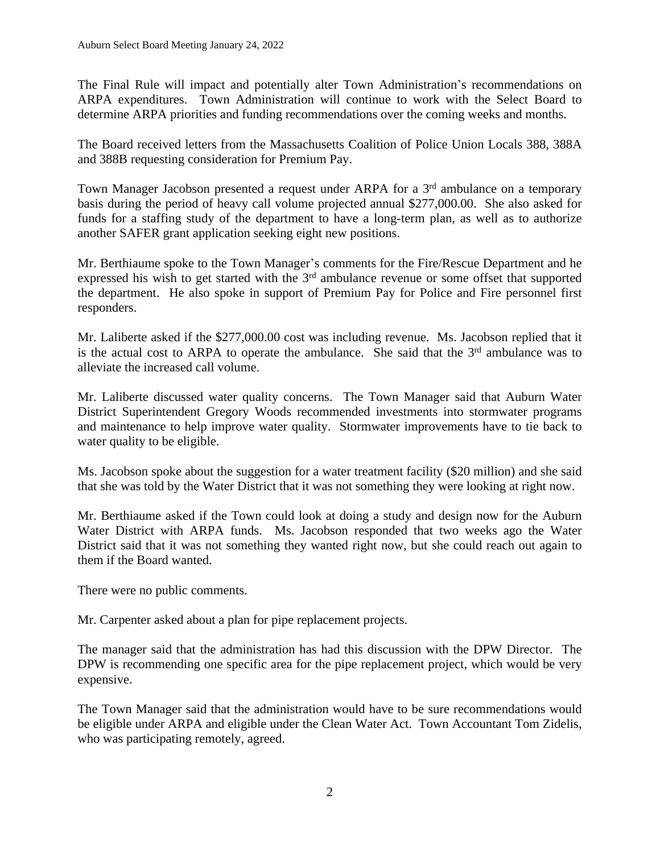The Final Rule will impact and potentially alter Town Administration's recommendations on ARPA expenditures. Town Administration will continue to work with the Select Board to determine ARPA priorities and funding recommendations over the coming weeks and months.

The Board received letters from the Massachusetts Coalition of Police Union Locals 388, 388A and 388B requesting consideration for Premium Pay.

Town Manager Jacobson presented a request under ARPA for a 3<sup>rd</sup> ambulance on a temporary basis during the period of heavy call volume projected annual \$277,000.00. She also asked for funds for a staffing study of the department to have a long-term plan, as well as to authorize another SAFER grant application seeking eight new positions.

Mr. Berthiaume spoke to the Town Manager's comments for the Fire/Rescue Department and he expressed his wish to get started with the 3<sup>rd</sup> ambulance revenue or some offset that supported the department. He also spoke in support of Premium Pay for Police and Fire personnel first responders.

Mr. Laliberte asked if the \$277,000.00 cost was including revenue. Ms. Jacobson replied that it is the actual cost to ARPA to operate the ambulance. She said that the  $3<sup>rd</sup>$  ambulance was to alleviate the increased call volume.

Mr. Laliberte discussed water quality concerns. The Town Manager said that Auburn Water District Superintendent Gregory Woods recommended investments into stormwater programs and maintenance to help improve water quality. Stormwater improvements have to tie back to water quality to be eligible.

Ms. Jacobson spoke about the suggestion for a water treatment facility (\$20 million) and she said that she was told by the Water District that it was not something they were looking at right now.

Mr. Berthiaume asked if the Town could look at doing a study and design now for the Auburn Water District with ARPA funds. Ms. Jacobson responded that two weeks ago the Water District said that it was not something they wanted right now, but she could reach out again to them if the Board wanted.

There were no public comments.

Mr. Carpenter asked about a plan for pipe replacement projects.

The manager said that the administration has had this discussion with the DPW Director. The DPW is recommending one specific area for the pipe replacement project, which would be very expensive.

The Town Manager said that the administration would have to be sure recommendations would be eligible under ARPA and eligible under the Clean Water Act. Town Accountant Tom Zidelis, who was participating remotely, agreed.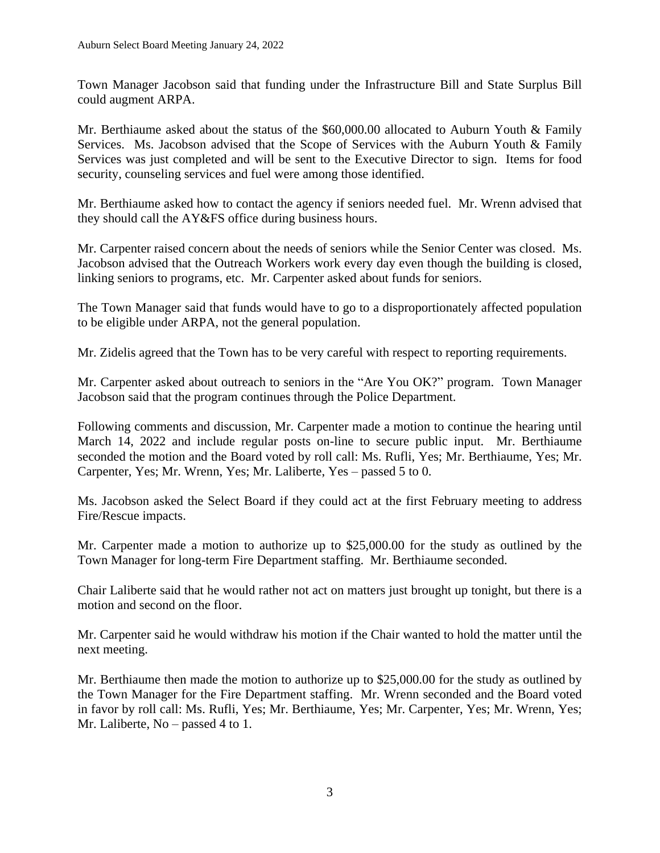Town Manager Jacobson said that funding under the Infrastructure Bill and State Surplus Bill could augment ARPA.

Mr. Berthiaume asked about the status of the \$60,000.00 allocated to Auburn Youth & Family Services. Ms. Jacobson advised that the Scope of Services with the Auburn Youth & Family Services was just completed and will be sent to the Executive Director to sign. Items for food security, counseling services and fuel were among those identified.

Mr. Berthiaume asked how to contact the agency if seniors needed fuel. Mr. Wrenn advised that they should call the AY&FS office during business hours.

Mr. Carpenter raised concern about the needs of seniors while the Senior Center was closed. Ms. Jacobson advised that the Outreach Workers work every day even though the building is closed, linking seniors to programs, etc. Mr. Carpenter asked about funds for seniors.

The Town Manager said that funds would have to go to a disproportionately affected population to be eligible under ARPA, not the general population.

Mr. Zidelis agreed that the Town has to be very careful with respect to reporting requirements.

Mr. Carpenter asked about outreach to seniors in the "Are You OK?" program. Town Manager Jacobson said that the program continues through the Police Department.

Following comments and discussion, Mr. Carpenter made a motion to continue the hearing until March 14, 2022 and include regular posts on-line to secure public input. Mr. Berthiaume seconded the motion and the Board voted by roll call: Ms. Rufli, Yes; Mr. Berthiaume, Yes; Mr. Carpenter, Yes; Mr. Wrenn, Yes; Mr. Laliberte, Yes – passed 5 to 0.

Ms. Jacobson asked the Select Board if they could act at the first February meeting to address Fire/Rescue impacts.

Mr. Carpenter made a motion to authorize up to \$25,000.00 for the study as outlined by the Town Manager for long-term Fire Department staffing. Mr. Berthiaume seconded.

Chair Laliberte said that he would rather not act on matters just brought up tonight, but there is a motion and second on the floor.

Mr. Carpenter said he would withdraw his motion if the Chair wanted to hold the matter until the next meeting.

Mr. Berthiaume then made the motion to authorize up to \$25,000.00 for the study as outlined by the Town Manager for the Fire Department staffing. Mr. Wrenn seconded and the Board voted in favor by roll call: Ms. Rufli, Yes; Mr. Berthiaume, Yes; Mr. Carpenter, Yes; Mr. Wrenn, Yes; Mr. Laliberte, No – passed 4 to 1.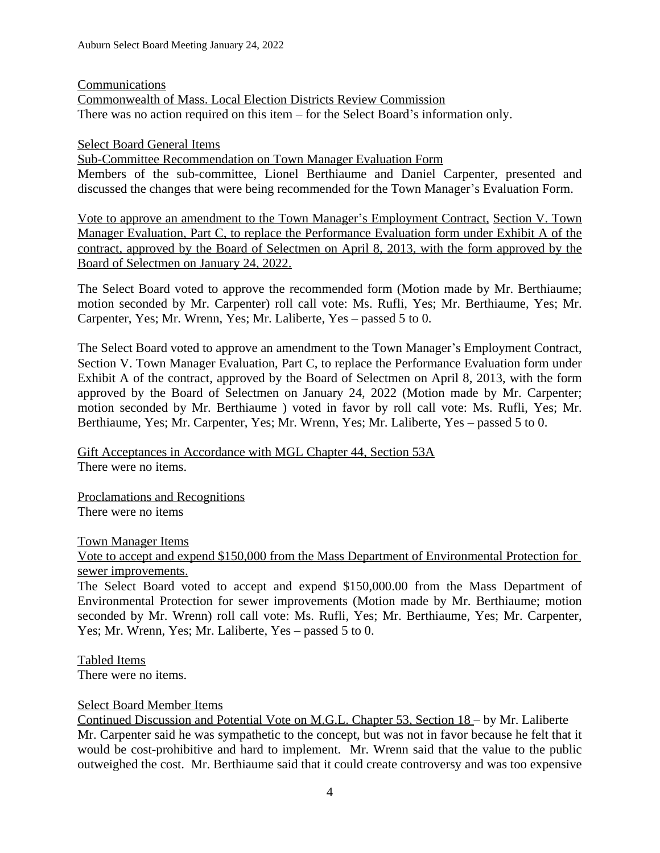## Communications

Commonwealth of Mass. Local Election Districts Review Commission There was no action required on this item – for the Select Board's information only.

## Select Board General Items

Sub-Committee Recommendation on Town Manager Evaluation Form Members of the sub-committee, Lionel Berthiaume and Daniel Carpenter, presented and discussed the changes that were being recommended for the Town Manager's Evaluation Form.

Vote to approve an amendment to the Town Manager's Employment Contract, Section V. Town Manager Evaluation, Part C, to replace the Performance Evaluation form under Exhibit A of the contract, approved by the Board of Selectmen on April 8, 2013, with the form approved by the Board of Selectmen on January 24, 2022.

The Select Board voted to approve the recommended form (Motion made by Mr. Berthiaume; motion seconded by Mr. Carpenter) roll call vote: Ms. Rufli, Yes; Mr. Berthiaume, Yes; Mr. Carpenter, Yes; Mr. Wrenn, Yes; Mr. Laliberte, Yes – passed 5 to 0.

The Select Board voted to approve an amendment to the Town Manager's Employment Contract, Section V. Town Manager Evaluation, Part C, to replace the Performance Evaluation form under Exhibit A of the contract, approved by the Board of Selectmen on April 8, 2013, with the form approved by the Board of Selectmen on January 24, 2022 (Motion made by Mr. Carpenter; motion seconded by Mr. Berthiaume ) voted in favor by roll call vote: Ms. Rufli, Yes; Mr. Berthiaume, Yes; Mr. Carpenter, Yes; Mr. Wrenn, Yes; Mr. Laliberte, Yes – passed 5 to 0.

Gift Acceptances in Accordance with MGL Chapter 44, Section 53A There were no items.

Proclamations and Recognitions There were no items

# Town Manager Items

Vote to accept and expend \$150,000 from the Mass Department of Environmental Protection for sewer improvements.

The Select Board voted to accept and expend \$150,000.00 from the Mass Department of Environmental Protection for sewer improvements (Motion made by Mr. Berthiaume; motion seconded by Mr. Wrenn) roll call vote: Ms. Rufli, Yes; Mr. Berthiaume, Yes; Mr. Carpenter, Yes; Mr. Wrenn, Yes; Mr. Laliberte, Yes – passed 5 to 0.

Tabled Items There were no items.

# Select Board Member Items

Continued Discussion and Potential Vote on M.G.L. Chapter 53, Section 18 – by Mr. Laliberte Mr. Carpenter said he was sympathetic to the concept, but was not in favor because he felt that it would be cost-prohibitive and hard to implement. Mr. Wrenn said that the value to the public outweighed the cost. Mr. Berthiaume said that it could create controversy and was too expensive